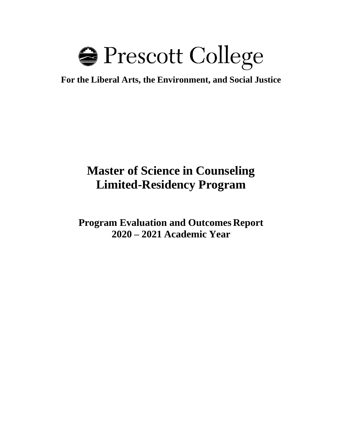

**For the Liberal Arts, the Environment, and Social Justice**

# **Master of Science in Counseling Limited-Residency Program**

**Program Evaluation and Outcomes Report 2020 – 2021 Academic Year**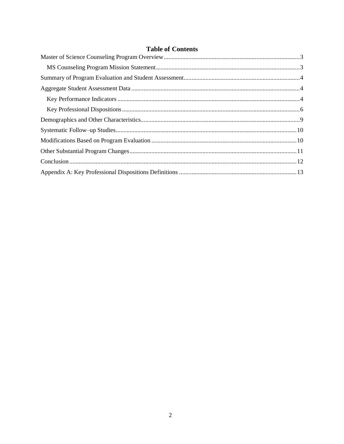|  |  | <b>Table of Contents</b> |
|--|--|--------------------------|
|--|--|--------------------------|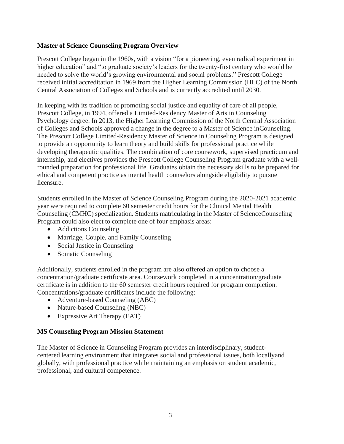### <span id="page-2-0"></span>**Master of Science Counseling Program Overview**

Prescott College began in the 1960s, with a vision "for a pioneering, even radical experiment in higher education" and "to graduate society's leaders for the twenty-first century who would be needed to solve the world's growing environmental and social problems." Prescott College received initial accreditation in 1969 from the Higher Learning Commission (HLC) of the North Central Association of Colleges and Schools and is currently accredited until 2030.

In keeping with its tradition of promoting social justice and equality of care of all people, Prescott College, in 1994, offered a Limited-Residency Master of Arts in Counseling Psychology degree. In 2013, the Higher Learning Commission of the North Central Association of Colleges and Schools approved a change in the degree to a Master of Science inCounseling. The Prescott College Limited-Residency Master of Science in Counseling Program is designed to provide an opportunity to learn theory and build skills for professional practice while developing therapeutic qualities. The combination of core coursework, supervised practicum and internship, and electives provides the Prescott College Counseling Program graduate with a wellrounded preparation for professional life. Graduates obtain the necessary skills to be prepared for ethical and competent practice as mental health counselors alongside eligibility to pursue licensure.

Students enrolled in the Master of Science Counseling Program during the 2020-2021 academic year were required to complete 60 semester credit hours for the Clinical Mental Health Counseling (CMHC) specialization. Students matriculating in the Master of ScienceCounseling Program could also elect to complete one of four emphasis areas:

- Addictions Counseling
- Marriage, Couple, and Family Counseling
- Social Justice in Counseling
- Somatic Counseling

Additionally, students enrolled in the program are also offered an option to choose a concentration/graduate certificate area. Coursework completed in a concentration/graduate certificate is in addition to the 60 semester credit hours required for program completion. Concentrations/graduate certificates include the following:

- Adventure-based Counseling (ABC)
- Nature-based Counseling (NBC)
- Expressive Art Therapy (EAT)

#### <span id="page-2-1"></span>**MS Counseling Program Mission Statement**

The Master of Science in Counseling Program provides an interdisciplinary, studentcentered learning environment that integrates social and professional issues, both locallyand globally, with professional practice while maintaining an emphasis on student academic, professional, and cultural competence.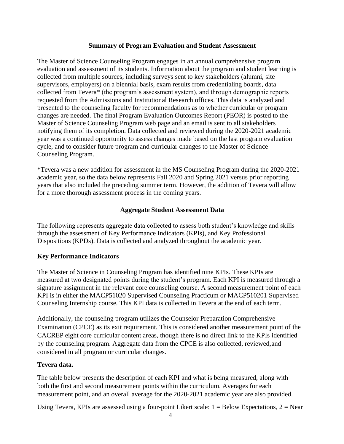#### **Summary of Program Evaluation and Student Assessment**

The Master of Science Counseling Program engages in an annual comprehensive program evaluation and assessment of its students. Information about the program and student learning is collected from multiple sources, including surveys sent to key stakeholders (alumni, site supervisors, employers) on a biennial basis, exam results from credentialing boards, data collected from Tevera\* (the program's assessment system), and through demographic reports requested from the Admissions and Institutional Research offices. This data is analyzed and presented to the counseling faculty for recommendations as to whether curricular or program changes are needed. The final Program Evaluation Outcomes Report (PEOR) is posted to the Master of Science Counseling Program web page and an email is sent to all stakeholders notifying them of its completion. Data collected and reviewed during the 2020-2021 academic year was a continued opportunity to assess changes made based on the last program evaluation cycle, and to consider future program and curricular changes to the Master of Science Counseling Program.

\*Tevera was a new addition for assessment in the MS Counseling Program during the 2020-2021 academic year, so the data below represents Fall 2020 and Spring 2021 versus prior reporting years that also included the preceding summer term. However, the addition of Tevera will allow for a more thorough assessment process in the coming years.

#### **Aggregate Student Assessment Data**

<span id="page-3-0"></span>The following represents aggregate data collected to assess both student's knowledge and skills through the assessment of Key Performance Indicators (KPIs), and Key Professional Dispositions (KPDs). Data is collected and analyzed throughout the academic year.

#### <span id="page-3-1"></span>**Key Performance Indicators**

The Master of Science in Counseling Program has identified nine KPIs. These KPIs are measured at two designated points during the student's program. Each KPI is measured through a signature assignment in the relevant core counseling course. A second measurement point of each KPI is in either the MACP51020 Supervised Counseling Practicum or MACP510201 Supervised Counseling Internship course. This KPI data is collected in Tevera at the end of each term.

Additionally, the counseling program utilizes the Counselor Preparation Comprehensive Examination (CPCE) as its exit requirement. This is considered another measurement point of the CACREP eight core curricular content areas, though there is no direct link to the KPIs identified by the counseling program. Aggregate data from the CPCE is also collected, reviewed,and considered in all program or curricular changes.

#### **Tevera data.**

The table below presents the description of each KPI and what is being measured, along with both the first and second measurement points within the curriculum. Averages for each measurement point, and an overall average for the 2020-2021 academic year are also provided.

Using Tevera, KPIs are assessed using a four-point Likert scale:  $1 =$  Below Expectations,  $2 =$  Near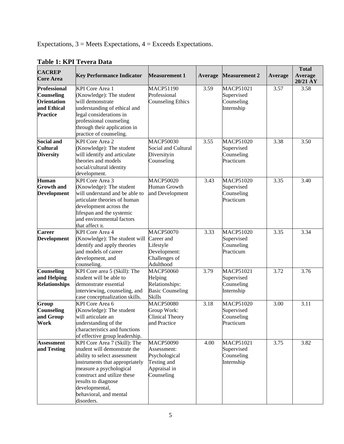Expectations, 3 = Meets Expectations, 4 = Exceeds Expectations.

| <b>CACREP</b><br><b>Core Area</b>                                                                | <b>Key Performance Indicator</b>                                                                                                                                                                                                                                          | <b>Measurement 1</b>                                                                          | Average | <b>Measurement 2</b>                                       | Average | <b>Total</b><br>Average<br>20/21 AY |
|--------------------------------------------------------------------------------------------------|---------------------------------------------------------------------------------------------------------------------------------------------------------------------------------------------------------------------------------------------------------------------------|-----------------------------------------------------------------------------------------------|---------|------------------------------------------------------------|---------|-------------------------------------|
| <b>Professional</b><br><b>Counseling</b><br><b>Orientation</b><br>and Ethical<br><b>Practice</b> | <b>KPI</b> Core Area 1<br>(Knowledge): The student<br>will demonstrate<br>understanding of ethical and<br>legal considerations in<br>professional counseling<br>through their application in<br>practice of counseling.                                                   | <b>MACP51190</b><br>Professional<br><b>Counseling Ethics</b>                                  | 3.59    | <b>MACP51021</b><br>Supervised<br>Counseling<br>Internship | 3.57    | 3.58                                |
| <b>Social and</b><br><b>Cultural</b><br><b>Diversity</b>                                         | <b>KPI</b> Core Area 2<br>(Knowledge): The student<br>will identify and articulate<br>theories and models<br>social/cultural identity<br>development.                                                                                                                     | <b>MACP50030</b><br>Social and Cultural<br>Diversityin<br>Counseling                          | 3.55    | <b>MACP51020</b><br>Supervised<br>Counseling<br>Practicum  | 3.38    | 3.50                                |
| <b>Human</b><br><b>Growth</b> and<br><b>Development</b>                                          | KPI Core Area 3<br>(Knowledge): The student<br>will understand and be able to<br>articulate theories of human<br>development across the<br>lifespan and the systemic<br>and environmental factors<br>that affect it.                                                      | <b>MACP50020</b><br>Human Growth<br>and Development                                           | 3.43    | <b>MACP51020</b><br>Supervised<br>Counseling<br>Practicum  | 3.35    | 3.40                                |
| <b>Career</b><br><b>Development</b>                                                              | <b>KPI</b> Core Area 4<br>(Knowledge): The student will Career and<br>identify and apply theories<br>and models of career<br>development, and<br>counseling.                                                                                                              | <b>MACP50070</b><br>Lifestyle<br>Development:<br>Challenges of<br>Adulthood                   | 3.33    | <b>MACP51020</b><br>Supervised<br>Counseling<br>Practicum  | 3.35    | 3.34                                |
| <b>Counseling</b><br>and Helping<br><b>Relationships</b>                                         | KPI Core area 5 (Skill): The<br>student will be able to<br>demonstrate essential<br>interviewing, counseling, and<br>case conceptualization skills.                                                                                                                       | <b>MACP50060</b><br>Helping<br>Relationships:<br><b>Basic Counseling</b><br><b>Skills</b>     | 3.79    | <b>MACP51021</b><br>Supervised<br>Counseling<br>Internship | 3.72    | 3.76                                |
| Group<br><b>Counseling</b><br>and Group<br>Work                                                  | KPI Core Area 6<br>(Knowledge): The student<br>will articulate an<br>understanding of the<br>characteristics and functions<br>of effective group leadership.                                                                                                              | <b>MACP50080</b><br>Group Work:<br><b>Clinical Theory</b><br>and Practice                     | 3.18    | <b>MACP51020</b><br>Supervised<br>Counseling<br>Practicum  | 3.00    | 3.11                                |
| <b>Assessment</b><br>and Testing                                                                 | KPI Core Area 7 (Skill): The<br>student will demonstrate the<br>ability to select assessment<br>instruments that appropriately<br>measure a psychological<br>construct and utilize these<br>results to diagnose<br>developmental,<br>behavioral, and mental<br>disorders. | <b>MACP50090</b><br>Assessment:<br>Psychological<br>Testing and<br>Appraisal in<br>Counseling | 4.00    | <b>MACP51021</b><br>Supervised<br>Counseling<br>Internship | 3.75    | 3.82                                |

# **Table 1: KPI Tevera Data**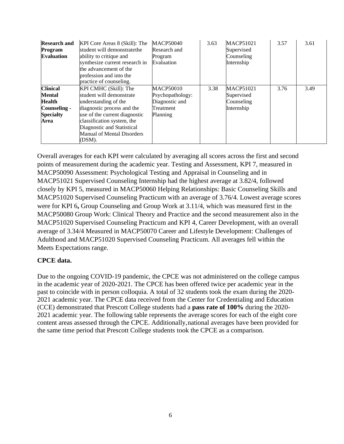| <b>Research and</b><br>Program<br><b>Evaluation</b> | KPI Core Areas 8 (Skill): The<br>student will demonstratethe<br>ability to critique and<br>synthesize current research in<br>the advancement of the<br>profession and into the<br>practice of counseling. | <b>MACP50040</b><br>Research and<br>Program<br>Evaluation | 3.63 | <b>MACP51021</b><br>Supervised<br>Counseling<br>Internship | 3.57 | 3.61 |
|-----------------------------------------------------|-----------------------------------------------------------------------------------------------------------------------------------------------------------------------------------------------------------|-----------------------------------------------------------|------|------------------------------------------------------------|------|------|
| <b>Clinical</b>                                     | KPI CMHC (Skill): The                                                                                                                                                                                     | <b>MACP50010</b>                                          | 3.38 | <b>MACP51021</b>                                           | 3.76 | 3.49 |
| <b>Mental</b>                                       | student will demonstrate                                                                                                                                                                                  | Psychopathology:                                          |      | Supervised                                                 |      |      |
| Health                                              | understanding of the                                                                                                                                                                                      | Diagnostic and                                            |      | Counseling                                                 |      |      |
| Counseling -                                        | diagnostic process and the                                                                                                                                                                                | Treatment                                                 |      | Internship                                                 |      |      |
| <b>Specialty</b>                                    | use of the current diagnostic                                                                                                                                                                             | Planning                                                  |      |                                                            |      |      |
| Area                                                | classification system, the                                                                                                                                                                                |                                                           |      |                                                            |      |      |
|                                                     | Diagnostic and Statistical                                                                                                                                                                                |                                                           |      |                                                            |      |      |
|                                                     | <b>Manual of Mental Disorders</b>                                                                                                                                                                         |                                                           |      |                                                            |      |      |
|                                                     | (DSM).                                                                                                                                                                                                    |                                                           |      |                                                            |      |      |

Overall averages for each KPI were calculated by averaging all scores across the first and second points of measurement during the academic year. Testing and Assessment, KPI 7, measured in MACP50090 Assessment: Psychological Testing and Appraisal in Counseling and in MACP51021 Supervised Counseling Internship had the highest average at 3.82/4, followed closely by KPI 5, measured in MACP50060 Helping Relationships: Basic Counseling Skills and MACP51020 Supervised Counseling Practicum with an average of 3.76/4. Lowest average scores were for KPI 6**,** Group Counseling and Group Work at 3.11/4, which was measured first in the MACP50080 Group Work: Clinical Theory and Practice and the second measurement also in the MACP51020 Supervised Counseling Practicum and KPI 4, Career Development, with an overall average of 3.34/4 Measured in MACP50070 Career and Lifestyle Development: Challenges of Adulthood and MACP51020 Supervised Counseling Practicum. All averages fell within the Meets Expectations range.

# **CPCE data.**

Due to the ongoing COVID-19 pandemic, the CPCE was not administered on the college campus in the academic year of 2020-2021. The CPCE has been offered twice per academic year in the past to coincide with in person colloquia. A total of 32 students took the exam during the 2020- 2021 academic year. The CPCE data received from the Center for Credentialing and Education (CCE) demonstrated that Prescott College students had a **pass rate of 100%** during the 2020- 2021 academic year. The following table represents the average scores for each of the eight core content areas assessed through the CPCE. Additionally, national averages have been provided for the same time period that Prescott College students took the CPCE as a comparison.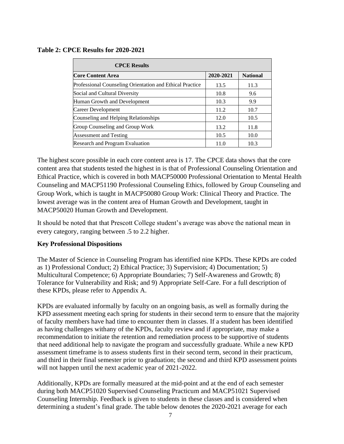#### **Table 2: CPCE Results for 2020-2021**

| <b>CPCE Results</b>                                      |           |                 |
|----------------------------------------------------------|-----------|-----------------|
| <b>Core Content Area</b>                                 | 2020-2021 | <b>National</b> |
| Professional Counseling Orientation and Ethical Practice | 13.5      | 11.3            |
| Social and Cultural Diversity                            | 10.8      | 9.6             |
| Human Growth and Development                             | 10.3      | 9.9             |
| Career Development                                       | 11.2      | 10.7            |
| Counseling and Helping Relationships                     | 12.0      | 10.5            |
| Group Counseling and Group Work                          | 13.2      | 11.8            |
| <b>Assessment and Testing</b>                            | 10.5      | 10.0            |
| Research and Program Evaluation                          | 11.0      | 10.3            |

The highest score possible in each core content area is 17. The CPCE data shows that the core content area that students tested the highest in is that of Professional Counseling Orientation and Ethical Practice, which is covered in both MACP50000 Professional Orientation to Mental Health Counseling and MACP51190 Professional Counseling Ethics, followed by Group Counseling and Group Work, which is taught in MACP50080 Group Work: Clinical Theory and Practice. The lowest average was in the content area of Human Growth and Development, taught in MACP50020 Human Growth and Development.

It should be noted that that Prescott College student's average was above the national mean in every category, ranging between .5 to 2.2 higher.

#### <span id="page-6-0"></span>**Key Professional Dispositions**

The Master of Science in Counseling Program has identified nine KPDs. These KPDs are coded as 1) Professional Conduct; 2) Ethical Practice; 3) Supervision; 4) Documentation; 5) Multicultural Competence; 6) Appropriate Boundaries; 7) Self-Awareness and Growth; 8) Tolerance for Vulnerability and Risk; and 9) Appropriate Self-Care. For a full description of these KPDs, please refer to Appendix A.

KPDs are evaluated informally by faculty on an ongoing basis, as well as formally during the KPD assessment meeting each spring for students in their second term to ensure that the majority of faculty members have had time to encounter them in classes. If a student has been identified as having challenges withany of the KPDs, faculty review and if appropriate, may make a recommendation to initiate the retention and remediation process to be supportive of students that need additional help to navigate the program and successfully graduate. While a new KPD assessment timeframe is to assess students first in their second term, second in their practicum, and third in their final semester prior to graduation; the second and third KPD assessment points will not happen until the next academic year of 2021-2022.

Additionally, KPDs are formally measured at the mid-point and at the end of each semester during both MACP51020 Supervised Counseling Practicum and MACP51021 Supervised Counseling Internship. Feedback is given to students in these classes and is considered when determining a student's final grade. The table below denotes the 2020-2021 average for each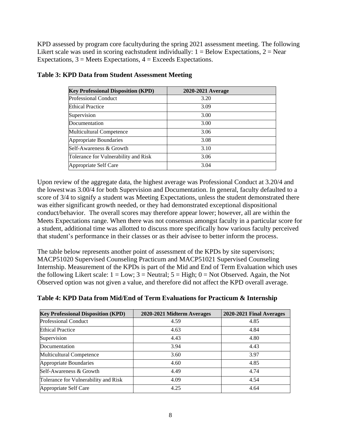KPD assessed by program core facultyduring the spring 2021 assessment meeting. The following Likert scale was used in scoring each student individually:  $1 =$  Below Expectations,  $2 =$  Near Expectations,  $3$  = Meets Expectations,  $4$  = Exceeds Expectations.

| <b>Key Professional Disposition (KPD)</b> | 2020-2021 Average |
|-------------------------------------------|-------------------|
| <b>Professional Conduct</b>               | 3.20              |
| <b>Ethical Practice</b>                   | 3.09              |
| Supervision                               | 3.00              |
| Documentation                             | 3.00              |
| Multicultural Competence                  | 3.06              |
| Appropriate Boundaries                    | 3.08              |
| Self-Awareness & Growth                   | 3.10              |
| Tolerance for Vulnerability and Risk      | 3.06              |
| Appropriate Self Care                     | 3.04              |

# **Table 3: KPD Data from Student Assessment Meeting**

Upon review of the aggregate data, the highest average was Professional Conduct at 3.20/4 and the lowest was 3.00/4 for both Supervision and Documentation. In general, faculty defaulted to a score of 3/4 to signify a student was Meeting Expectations, unless the student demonstrated there was either significant growth needed, or they had demonstrated exceptional dispositional conduct/behavior. The overall scores may therefore appear lower; however, all are within the Meets Expectations range. When there was not consensus amongst faculty in a particular score for a student, additional time was allotted to discuss more specifically how various faculty perceived that student's performance in their classes or as their advisee to better inform the process.

The table below represents another point of assessment of the KPDs by site supervisors; MACP51020 Supervised Counseling Practicum and MACP51021 Supervised Counseling Internship. Measurement of the KPDs is part of the Mid and End of Term Evaluation which uses the following Likert scale:  $1 = Low$ ;  $3 = Neutral$ ;  $5 = High$ ;  $0 = Not$  Observed. Again, the Not Observed option was not given a value, and therefore did not affect the KPD overall average.

| <b>Key Professional Disposition (KPD)</b> | 2020-2021 Midterm Averages | 2020-2021 Final Averages |
|-------------------------------------------|----------------------------|--------------------------|
| <b>Professional Conduct</b>               | 4.59                       | 4.85                     |
| <b>Ethical Practice</b>                   | 4.63                       | 4.84                     |
| Supervision                               | 4.43                       | 4.80                     |
| Documentation                             | 3.94                       | 4.43                     |
| <b>Multicultural Competence</b>           | 3.60                       | 3.97                     |
| Appropriate Boundaries                    | 4.60                       | 4.85                     |
| Self-Awareness & Growth                   | 4.49                       | 4.74                     |
| Tolerance for Vulnerability and Risk      | 4.09                       | 4.54                     |
| Appropriate Self Care                     | 4.25                       | 4.64                     |

# **Table 4: KPD Data from Mid/End of Term Evaluations for Practicum & Internship**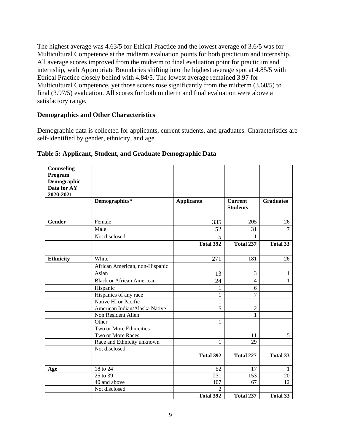The highest average was 4.63/5 for Ethical Practice and the lowest average of 3.6/5 was for Multicultural Competence at the midterm evaluation points for both practicum and internship. All average scores improved from the midterm to final evaluation point for practicum and internship, with Appropriate Boundaries shifting into the highest average spot at 4.85/5 with Ethical Practice closely behind with 4.84/5. The lowest average remained 3.97 for Multicultural Competence, yet those scores rose significantly from the midterm (3.60/5) to final (3.97/5) evaluation. All scores for both midterm and final evaluation were above a satisfactory range.

### **Demographics and Other Characteristics**

Demographic data is collected for applicants, current students, and graduates. Characteristics are self-identified by gender, ethnicity, and age.

| <b>Counseling</b><br>Program<br>Demographic<br>Data for AY<br>2020-2021 |                                  |                         |                                   |                  |
|-------------------------------------------------------------------------|----------------------------------|-------------------------|-----------------------------------|------------------|
|                                                                         | Demographics*                    | <b>Applicants</b>       | <b>Current</b><br><b>Students</b> | <b>Graduates</b> |
| Gender                                                                  | Female                           | 335                     | 205                               | 26               |
|                                                                         | Male                             | 52                      | 31                                | $\overline{7}$   |
|                                                                         | Not disclosed                    | $\overline{\mathbf{5}}$ |                                   |                  |
|                                                                         |                                  | Total 392               | Total 237                         | Total 33         |
|                                                                         |                                  |                         |                                   |                  |
| <b>Ethnicity</b>                                                        | White                            | 271                     | 181                               | 26               |
|                                                                         | African American, non-Hispanic   |                         |                                   |                  |
|                                                                         | Asian                            | 13                      | 3                                 | 1                |
|                                                                         | <b>Black or African American</b> | 24                      | $\overline{4}$                    | 1                |
|                                                                         | Hispanic                         | 1                       | 6                                 |                  |
|                                                                         | Hispanics of any race            | 1                       | 7                                 |                  |
|                                                                         | Native HI or Pacific             | 1                       |                                   |                  |
|                                                                         | American Indian/Alaska Native    | 5                       | $\overline{2}$                    |                  |
|                                                                         | Non Resident Alien               |                         | $\mathbf{1}$                      |                  |
|                                                                         | Other                            | 1                       |                                   |                  |
|                                                                         | Two or More Ethnicities          |                         |                                   |                  |
|                                                                         | Two or More Races                | 1                       | 11                                | 5                |
|                                                                         | Race and Ethnicity unknown       | 1                       | 29                                |                  |
|                                                                         | Not disclosed                    |                         |                                   |                  |
|                                                                         |                                  | Total 392               | Total 227                         | <b>Total 33</b>  |
| Age                                                                     | 18 to 24                         | 52                      | 17                                | 1                |
|                                                                         | 25 to 39                         | 231                     | 153                               | 20               |
|                                                                         | 40 and above                     | 107                     | 67                                | 12               |
|                                                                         | Not disclosed                    | $\mathfrak{D}$          |                                   |                  |
|                                                                         |                                  | Total 392               | Total 237                         | Total 33         |

#### **Table 5: Applicant, Student, and Graduate Demographic Data**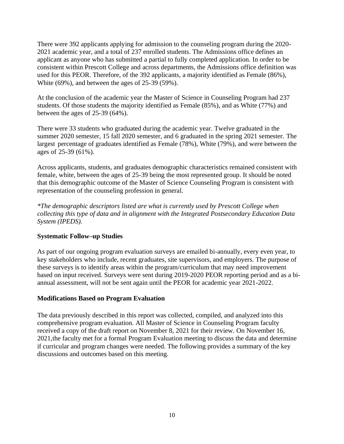There were 392 applicants applying for admission to the counseling program during the 2020- 2021 academic year, and a total of 237 enrolled students. The Admissions office defines an applicant as anyone who has submitted a partial to fully completed application. In order to be consistent within Prescott College and across departments, the Admissions office definition was used for this PEOR. Therefore, of the 392 applicants, a majority identified as Female (86%), White (69%), and between the ages of 25-39 (59%).

At the conclusion of the academic year the Master of Science in Counseling Program had 237 students. Of those students the majority identified as Female (85%), and as White (77%) and between the ages of 25-39 (64%).

There were 33 students who graduated during the academic year. Twelve graduated in the summer 2020 semester, 15 fall 2020 semester, and 6 graduated in the spring 2021 semester. The largest percentage of graduates identified as Female (78%), White (79%), and were between the ages of 25-39 (61%).

Across applicants, students, and graduates demographic characteristics remained consistent with female, white, between the ages of 25-39 being the most represented group. It should be noted that this demographic outcome of the Master of Science Counseling Program is consistent with representation of the counseling profession in general.

*\*The demographic descriptors listed are what is currently used by Prescott College when collecting this type of data and in alignment with the Integrated Postsecondary Education Data System (IPEDS).*

# **Systematic Follow–up Studies**

As part of our ongoing program evaluation surveys are emailed bi-annually, every even year, to key stakeholders who include, recent graduates, site supervisors, and employers. The purpose of these surveys is to identify areas within the program/curriculum that may need improvement based on input received. Surveys were sent during 2019-2020 PEOR reporting period and as a biannual assessment, will not be sent again until the PEOR for academic year 2021-2022.

# **Modifications Based on Program Evaluation**

The data previously described in this report was collected, compiled, and analyzed into this comprehensive program evaluation. All Master of Science in Counseling Program faculty received a copy of the draft report on November 8, 2021 for their review. On November 16, 2021,the faculty met for a formal Program Evaluation meeting to discuss the data and determine if curricular and program changes were needed. The following provides a summary of the key discussions and outcomes based on this meeting.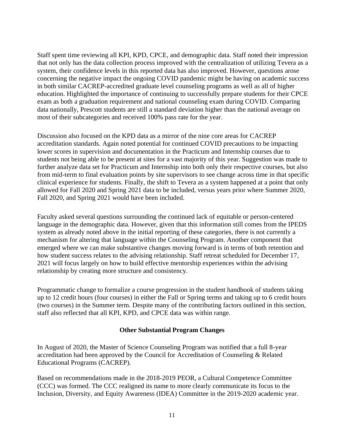Staff spent time reviewing all KPI, KPD, CPCE, and demographic data. Staff noted their impression that not only has the data collection process improved with the centralization of utilizing Tevera as a system, their confidence levels in this reported data has also improved. However, questions arose concerning the negative impact the ongoing COVID pandemic might be having on academic success in both similar CACREP-accredited graduate level counseling programs as well as all of higher education. Highlighted the importance of continuing to successfully prepare students for their CPCE exam as both a graduation requirement and national counseling exam during COVID. Comparing data nationally, Prescott students are still a standard deviation higher than the national average on most of their subcategories and received 100% pass rate for the year.

Discussion also focused on the KPD data as a mirror of the nine core areas for CACREP accreditation standards. Again noted potential for continued COVID precautions to be impacting lower scores in supervision and documentation in the Practicum and Internship courses due to students not being able to be present at sites for a vast majority of this year. Suggestion was made to further analyze data set for Practicum and Internship into both only their respective courses, but also from mid-term to final evaluation points by site supervisors to see change across time in that specific clinical experience for students. Finally, the shift to Tevera as a system happened at a point that only allowed for Fall 2020 and Spring 2021 data to be included, versus years prior where Summer 2020, Fall 2020, and Spring 2021 would have been included.

Faculty asked several questions surrounding the continued lack of equitable or person-centered language in the demographic data. However, given that this information still comes from the IPEDS system as already noted above in the initial reporting of these categories, there is not currently a mechanism for altering that language within the Counseling Program. Another component that emerged where we can make substantive changes moving forward is in terms of both retention and how student success relates to the advising relationship. Staff retreat scheduled for December 17, 2021 will focus largely on how to build effective mentorship experiences within the advising relationship by creating more structure and consistency.

Programmatic change to formalize a course progression in the student handbook of students taking up to 12 credit hours (four courses) in either the Fall or Spring terms and taking up to 6 credit hours (two courses) in the Summer term. Despite many of the contributing factors outlined in this section, staff also reflected that all KPI, KPD, and CPCE data was within range.

# **Other Substantial Program Changes**

In August of 2020, the Master of Science Counseling Program was notified that a full 8-year accreditation had been approved by the Council for Accreditation of Counseling & Related Educational Programs (CACREP).

Based on recommendations made in the 2018-2019 PEOR, a Cultural Competence Committee (CCC) was formed. The CCC realigned its name to more clearly communicate its focus to the Inclusion, Diversity, and Equity Awareness (IDEA) Committee in the 2019-2020 academic year.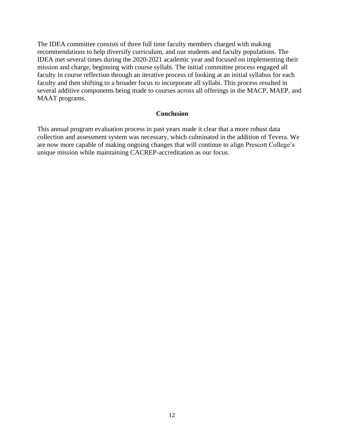The IDEA committee consists of three full time faculty members charged with making recommendations to help diversify curriculum, and our students and faculty populations. The IDEA met several times during the 2020-2021 academic year and focused on implementing their mission and charge, beginning with course syllabi. The initial committee process engaged all faculty in course reflection through an iterative process of looking at an initial syllabus for each faculty and then shifting to a broader focus to incorporate all syllabi. This process resulted in several additive components being made to courses across all offerings in the MACP, MAEP, and MAAT programs.

#### **Conclusion**

This annual program evaluation process in past years made it clear that a more robust data collection and assessment system was necessary, which culminated in the addition of Tevera. We are now more capable of making ongoing changes that will continue to align Prescott College's unique mission while maintaining CACREP-accreditation as our focus.